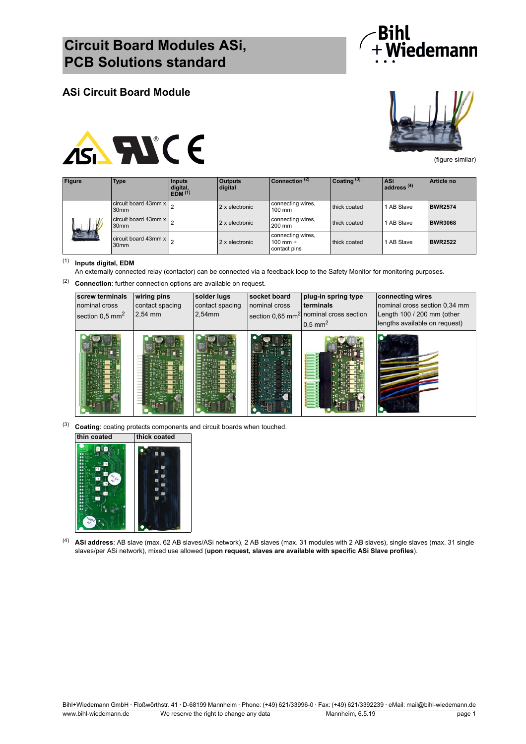

### **ASi Circuit Board Module**





(figure similar)

| <b>Figure</b> | <b>Type</b>                                               | <b>Inputs</b><br>digital,<br>EDM <sup>(1)</sup> | <b>Outputs</b><br>digital | $C$ onnection $(2)$                               | $C$ oating $(3)$ | l ASi<br>ladress <sup>(4)</sup> | Article no     |
|---------------|-----------------------------------------------------------|-------------------------------------------------|---------------------------|---------------------------------------------------|------------------|---------------------------------|----------------|
|               | circuit board 43mm $x \big _{\Omega}$<br>30 <sub>mm</sub> |                                                 | 2 x electronic            | connecting wires,<br>$100$ mm                     | thick coated     | 1 AB Slave                      | <b>BWR2574</b> |
|               | circuit board 43mm $x \big _{\Omega}$<br>30 <sub>mm</sub> |                                                 | 2 x electronic            | connecting wires,<br>200 mm                       | thick coated     | 1 AB Slave                      | <b>BWR3068</b> |
|               | circuit board 43mm $x \mid_{\Omega}$<br>30 <sub>mm</sub>  |                                                 | 2 x electronic            | connecting wires,<br>$100$ mm $+$<br>contact pins | thick coated     | 1 AB Slave                      | <b>BWR2522</b> |

#### (1) **Inputs digital, EDM**

An externally connected relay (contactor) can be connected via a feedback loop to the Safety Monitor for monitoring purposes.

(2) **Connection**: further connection options are available on request.

| screw terminals<br>nominal cross<br>section $0.5$ mm <sup>2</sup> | wiring pins<br>contact spacing<br>2,54 mm | solder lugs<br>contact spacing<br>2,54mm | socket board<br>nominal cross | plug-in spring type<br>terminals<br>section 0,65 mm <sup>2</sup> nominal cross section<br>$0.5$ mm <sup>2</sup> | connecting wires<br>nominal cross section 0,34 mm<br>Length 100 / 200 mm (other<br>lengths available on request) |
|-------------------------------------------------------------------|-------------------------------------------|------------------------------------------|-------------------------------|-----------------------------------------------------------------------------------------------------------------|------------------------------------------------------------------------------------------------------------------|
|                                                                   |                                           |                                          |                               |                                                                                                                 |                                                                                                                  |

(3) **Coating**: coating protects components and circuit boards when touched. **thin coated thick coated**



(4) **ASi address**: AB slave (max. 62 AB slaves/ASi network), 2 AB slaves (max. 31 modules with 2 AB slaves), single slaves (max. 31 single slaves/per ASi network), mixed use allowed (**upon request, slaves are available with specific ASi Slave profiles**).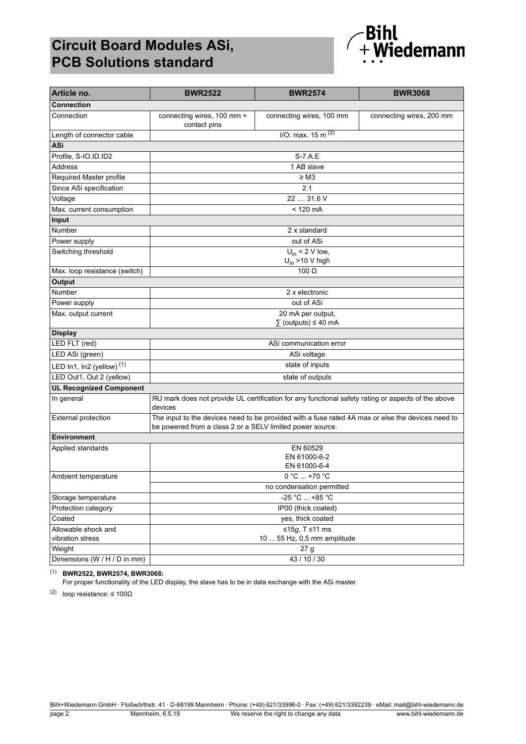# **Circuit Board Modules ASi, PCB Solutions standard**



| Article no.                          | <b>BWR2522</b>                                                                                                                                                 | <b>BWR2574</b>                                       | <b>BWR3068</b>           |  |
|--------------------------------------|----------------------------------------------------------------------------------------------------------------------------------------------------------------|------------------------------------------------------|--------------------------|--|
| <b>Connection</b>                    |                                                                                                                                                                |                                                      |                          |  |
| Connection                           | connecting wires, 100 mm +<br>contact pins                                                                                                                     | connecting wires, 100 mm                             | connecting wires, 200 mm |  |
| Length of connector cable            |                                                                                                                                                                | $1/O$ : max. 15 m $(2)$                              |                          |  |
| ASi                                  |                                                                                                                                                                |                                                      |                          |  |
| Profile, S-IO.ID.ID2                 |                                                                                                                                                                | S-7.A.E                                              |                          |  |
| <b>Address</b>                       |                                                                                                                                                                | 1 AB slave                                           |                          |  |
| Required Master profile              |                                                                                                                                                                | $\geq$ M3                                            |                          |  |
| Since ASi specification              |                                                                                                                                                                | 2.1                                                  |                          |  |
| Voltage                              |                                                                                                                                                                | 22  31,6 V                                           |                          |  |
| Max. current consumption             |                                                                                                                                                                | $< 120$ mA                                           |                          |  |
| Input                                |                                                                                                                                                                |                                                      |                          |  |
| Number                               |                                                                                                                                                                | 2 x standard                                         |                          |  |
| Power supply                         |                                                                                                                                                                | out of ASi                                           |                          |  |
| Switching threshold                  |                                                                                                                                                                | $U_{in}$ < 2 V low,<br>$U_{in}$ >10 V high           |                          |  |
| Max. loop resistance (switch)        |                                                                                                                                                                | 100 $\Omega$                                         |                          |  |
| <b>Output</b>                        |                                                                                                                                                                |                                                      |                          |  |
| Number                               |                                                                                                                                                                | 2 x electronic                                       |                          |  |
| Power supply                         |                                                                                                                                                                | out of ASi                                           |                          |  |
| Max. output current                  |                                                                                                                                                                | 20 mA per output,<br>$\Sigma$ (outputs) $\leq 40$ mA |                          |  |
| <b>Display</b>                       |                                                                                                                                                                |                                                      |                          |  |
| LED FLT (red)                        | ASi communication error                                                                                                                                        |                                                      |                          |  |
| LED ASi (green)                      | ASi voltage                                                                                                                                                    |                                                      |                          |  |
| LED In1, In2 (yellow) <sup>(1)</sup> | state of inputs                                                                                                                                                |                                                      |                          |  |
| LED Out1, Out 2 (yellow)             | state of outputs                                                                                                                                               |                                                      |                          |  |
| <b>UL Recognized Component</b>       |                                                                                                                                                                |                                                      |                          |  |
| In general                           | AU mark does not provide UL certification for any functional safety rating or aspects of the above<br>devices                                                  |                                                      |                          |  |
| <b>External protection</b>           | The input to the devices need to be provided with a fuse rated 4A max or else the devices need to<br>be powered from a class 2 or a SELV limited power source. |                                                      |                          |  |
| <b>Environment</b>                   |                                                                                                                                                                |                                                      |                          |  |
| Applied standards                    | EN 60529<br>EN 61000-6-2<br>EN 61000-6-4                                                                                                                       |                                                      |                          |  |
| Ambient temperature                  |                                                                                                                                                                | 0 °C  +70 °C                                         |                          |  |
|                                      | no condensation permitted                                                                                                                                      |                                                      |                          |  |
| Storage temperature                  | -25 °C  +85 °C                                                                                                                                                 |                                                      |                          |  |
| Protection category                  | IP00 (thick coated)                                                                                                                                            |                                                      |                          |  |
| Coated                               | yes, thick coated                                                                                                                                              |                                                      |                          |  |
| Allowable shock and                  | ≤15g, T ≤11 ms                                                                                                                                                 |                                                      |                          |  |
| vibration stress                     | 10  55 Hz, 0,5 mm amplitude                                                                                                                                    |                                                      |                          |  |
| Weight                               | 27 <sub>g</sub>                                                                                                                                                |                                                      |                          |  |
| Dimensions (W / H / D in mm)         | 43 / 10 / 30                                                                                                                                                   |                                                      |                          |  |

#### (1) **BWR2522, BWR2574, BWR3068:**

For proper functionality of the LED display, the slave has to be in data exchange with the ASi master.

(2) loop resistance:  $\leq 100\Omega$